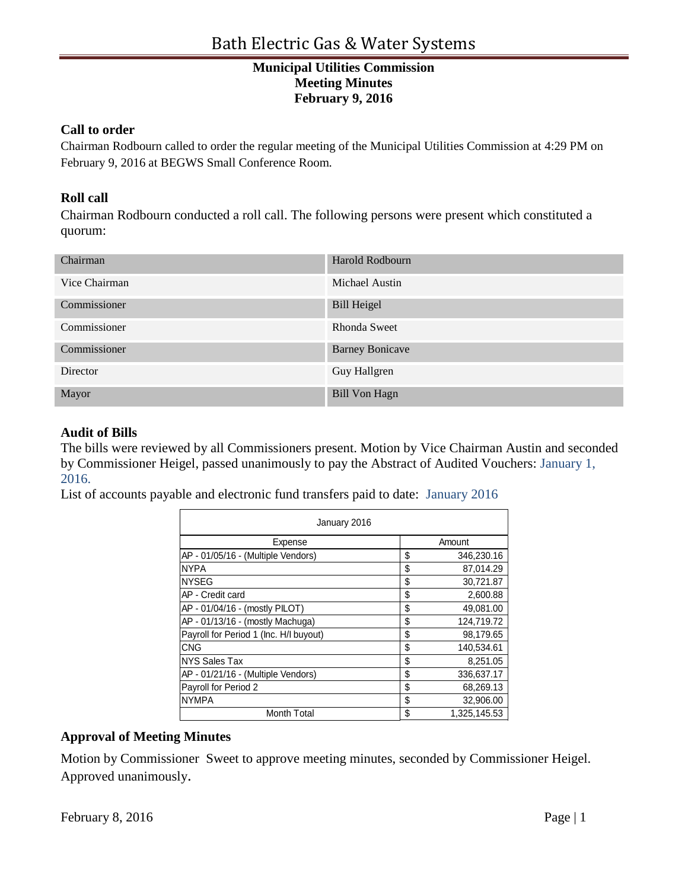# **Municipal Utilities Commission Meeting Minutes February 9, 2016**

### **Call to order**

Chairman Rodbourn called to order the regular meeting of the Municipal Utilities Commission at 4:29 PM on February 9, 2016 at BEGWS Small Conference Room.

## **Roll call**

Chairman Rodbourn conducted a roll call. The following persons were present which constituted a quorum:

| Chairman      | Harold Rodbourn        |  |
|---------------|------------------------|--|
| Vice Chairman | Michael Austin         |  |
| Commissioner  | <b>Bill Heigel</b>     |  |
| Commissioner  | Rhonda Sweet           |  |
| Commissioner  | <b>Barney Bonicave</b> |  |
| Director      | Guy Hallgren           |  |
| Mayor         | <b>Bill Von Hagn</b>   |  |

### **Audit of Bills**

The bills were reviewed by all Commissioners present. Motion by Vice Chairman Austin and seconded by Commissioner Heigel, passed unanimously to pay the Abstract of Audited Vouchers: January 1, 2016.

List of accounts payable and electronic fund transfers paid to date: January 2016

| January 2016                           |    |              |  |
|----------------------------------------|----|--------------|--|
| Expense                                |    | Amount       |  |
| AP - 01/05/16 - (Multiple Vendors)     | \$ | 346,230.16   |  |
| <b>NYPA</b>                            | \$ | 87,014.29    |  |
| <b>NYSEG</b>                           | \$ | 30,721.87    |  |
| AP - Credit card                       | \$ | 2,600.88     |  |
| AP - 01/04/16 - (mostly PILOT)         | \$ | 49,081.00    |  |
| AP - 01/13/16 - (mostly Machuga)       | \$ | 124,719.72   |  |
| Payroll for Period 1 (Inc. H/I buyout) | \$ | 98,179.65    |  |
| CNG                                    | \$ | 140,534.61   |  |
| NYS Sales Tax                          | \$ | 8,251.05     |  |
| AP - 01/21/16 - (Multiple Vendors)     | \$ | 336,637.17   |  |
| Payroll for Period 2                   | \$ | 68,269.13    |  |
| <b>NYMPA</b>                           | \$ | 32,906.00    |  |
| <b>Month Total</b>                     | \$ | 1,325,145.53 |  |

## **Approval of Meeting Minutes**

Motion by Commissioner Sweet to approve meeting minutes, seconded by Commissioner Heigel. Approved unanimously.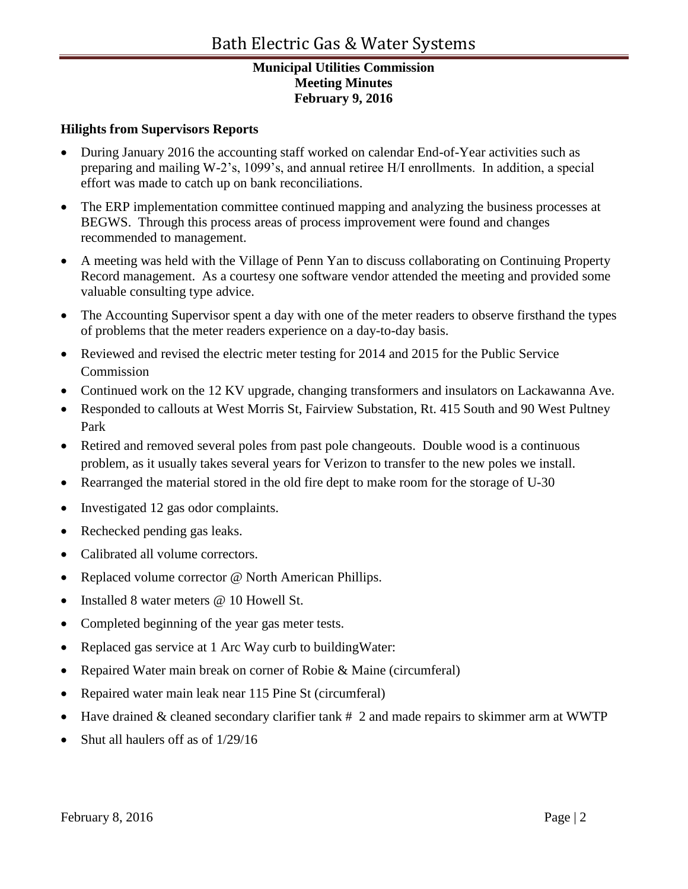# **Municipal Utilities Commission Meeting Minutes February 9, 2016**

### **Hilights from Supervisors Reports**

- During January 2016 the accounting staff worked on calendar End-of-Year activities such as preparing and mailing W-2's, 1099's, and annual retiree H/I enrollments. In addition, a special effort was made to catch up on bank reconciliations.
- The ERP implementation committee continued mapping and analyzing the business processes at BEGWS. Through this process areas of process improvement were found and changes recommended to management.
- A meeting was held with the Village of Penn Yan to discuss collaborating on Continuing Property Record management. As a courtesy one software vendor attended the meeting and provided some valuable consulting type advice.
- The Accounting Supervisor spent a day with one of the meter readers to observe firsthand the types of problems that the meter readers experience on a day-to-day basis.
- Reviewed and revised the electric meter testing for 2014 and 2015 for the Public Service Commission
- Continued work on the 12 KV upgrade, changing transformers and insulators on Lackawanna Ave.
- Responded to callouts at West Morris St, Fairview Substation, Rt. 415 South and 90 West Pultney Park
- Retired and removed several poles from past pole changeouts. Double wood is a continuous problem, as it usually takes several years for Verizon to transfer to the new poles we install.
- Rearranged the material stored in the old fire dept to make room for the storage of U-30
- Investigated 12 gas odor complaints.
- Rechecked pending gas leaks.
- Calibrated all volume correctors.
- Replaced volume corrector @ North American Phillips.
- Installed 8 water meters @ 10 Howell St.
- Completed beginning of the year gas meter tests.
- Replaced gas service at 1 Arc Way curb to buildingWater:
- Repaired Water main break on corner of Robie & Maine (circumferal)
- Repaired water main leak near 115 Pine St (circumferal)
- Have drained & cleaned secondary clarifier tank # 2 and made repairs to skimmer arm at WWTP
- Shut all haulers off as of 1/29/16